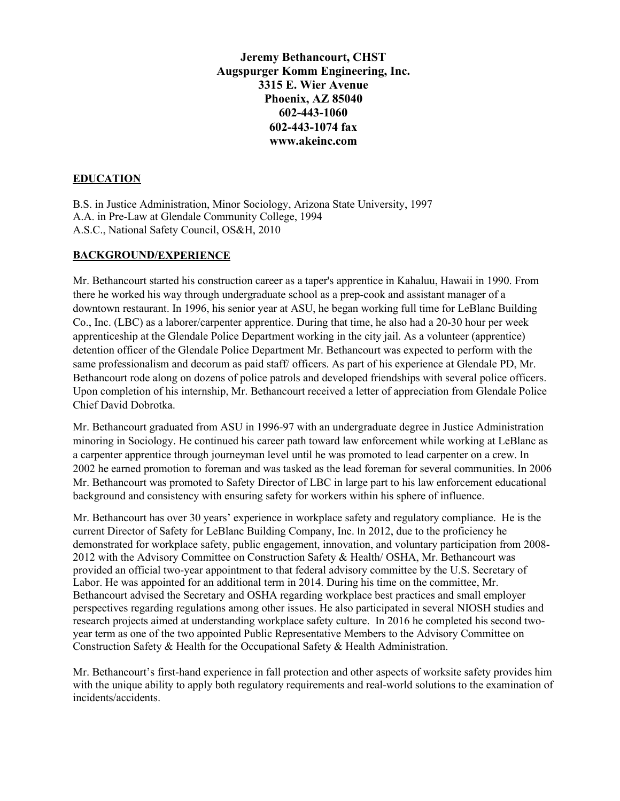**Jeremy Bethancourt, CHST Augspurger Komm Engineering, Inc. 3315 E. Wier Avenue Phoenix, AZ 85040 602-443-1060 602-443-1074 fax www.akeinc.com**

### **EDUCATION**

B.S. in Justice Administration, Minor Sociology, Arizona State University, 1997 A.A. in Pre-Law at Glendale Community College, 1994 A.S.C., National Safety Council, OS&H, 2010

### **BACKGROUND/EXPERIENCE**

Mr. Bethancourt started his construction career as a taper's apprentice in Kahaluu, Hawaii in 1990. From there he worked his way through undergraduate school as a prep-cook and assistant manager of a downtown restaurant. In 1996, his senior year at ASU, he began working full time for LeBlanc Building Co., Inc. (LBC) as a laborer/carpenter apprentice. During that time, he also had a 20-30 hour per week apprenticeship at the Glendale Police Department working in the city jail. As a volunteer (apprentice) detention officer of the Glendale Police Department Mr. Bethancourt was expected to perform with the same professionalism and decorum as paid staff/ officers. As part of his experience at Glendale PD, Mr. Bethancourt rode along on dozens of police patrols and developed friendships with several police officers. Upon completion of his internship, Mr. Bethancourt received a letter of appreciation from Glendale Police Chief David Dobrotka.

Mr. Bethancourt graduated from ASU in 1996-97 with an undergraduate degree in Justice Administration minoring in Sociology. He continued his career path toward law enforcement while working at LeBlanc as a carpenter apprentice through journeyman level until he was promoted to lead carpenter on a crew. In 2002 he earned promotion to foreman and was tasked as the lead foreman for several communities. In 2006 Mr. Bethancourt was promoted to Safety Director of LBC in large part to his law enforcement educational background and consistency with ensuring safety for workers within his sphere of influence.

Mr. Bethancourt has over 30 years' experience in workplace safety and regulatory compliance. He is the current Director of Safety for LeBlanc Building Company, Inc. In 2012, due to the proficiency he demonstrated for workplace safety, public engagement, innovation, and voluntary participation from 2008- 2012 with the Advisory Committee on Construction Safety & Health/ OSHA, Mr. Bethancourt was provided an official two-year appointment to that federal advisory committee by the U.S. Secretary of Labor. He was appointed for an additional term in 2014. During his time on the committee, Mr. Bethancourt advised the Secretary and OSHA regarding workplace best practices and small employer perspectives regarding regulations among other issues. He also participated in several NIOSH studies and research projects aimed at understanding workplace safety culture. In 2016 he completed his second twoyear term as one of the two appointed Public Representative Members to the Advisory Committee on Construction Safety & Health for the Occupational Safety & Health Administration.

Mr. Bethancourt's first-hand experience in fall protection and other aspects of worksite safety provides him with the unique ability to apply both regulatory requirements and real-world solutions to the examination of incidents/accidents.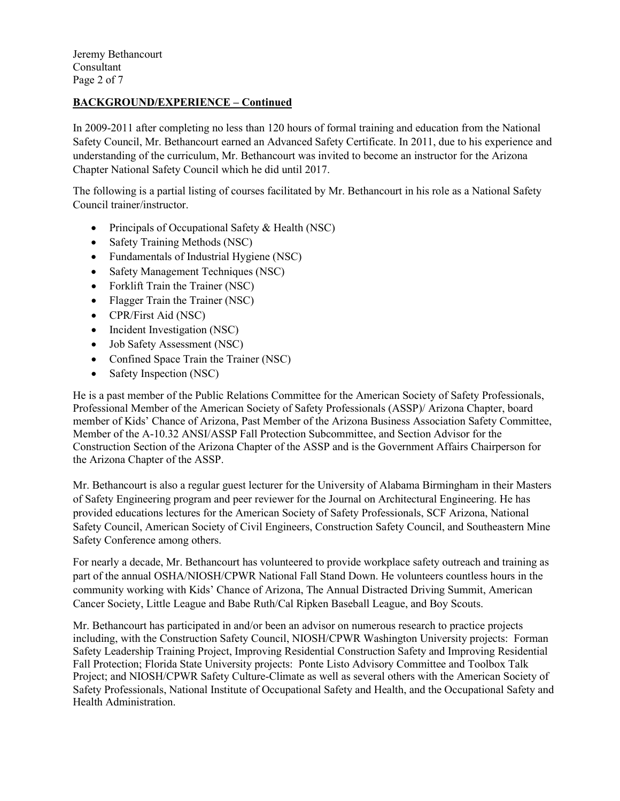Jeremy Bethancourt Consultant Page 2 of 7

### **BACKGROUND/EXPERIENCE – Continued**

In 2009-2011 after completing no less than 120 hours of formal training and education from the National Safety Council, Mr. Bethancourt earned an Advanced Safety Certificate. In 2011, due to his experience and understanding of the curriculum, Mr. Bethancourt was invited to become an instructor for the Arizona Chapter National Safety Council which he did until 2017.

The following is a partial listing of courses facilitated by Mr. Bethancourt in his role as a National Safety Council trainer/instructor.

- Principals of Occupational Safety & Health (NSC)
- Safety Training Methods (NSC)
- Fundamentals of Industrial Hygiene (NSC)
- Safety Management Techniques (NSC)
- Forklift Train the Trainer (NSC)
- Flagger Train the Trainer (NSC)
- CPR/First Aid (NSC)
- Incident Investigation (NSC)
- Job Safety Assessment (NSC)
- Confined Space Train the Trainer (NSC)
- Safety Inspection (NSC)

He is a past member of the Public Relations Committee for the American Society of Safety Professionals, Professional Member of the American Society of Safety Professionals (ASSP)/ Arizona Chapter, board member of Kids' Chance of Arizona, Past Member of the Arizona Business Association Safety Committee, Member of the A-10.32 ANSI/ASSP Fall Protection Subcommittee, and Section Advisor for the Construction Section of the Arizona Chapter of the ASSP and is the Government Affairs Chairperson for the Arizona Chapter of the ASSP.

Mr. Bethancourt is also a regular guest lecturer for the University of Alabama Birmingham in their Masters of Safety Engineering program and peer reviewer for the Journal on Architectural Engineering. He has provided educations lectures for the American Society of Safety Professionals, SCF Arizona, National Safety Council, American Society of Civil Engineers, Construction Safety Council, and Southeastern Mine Safety Conference among others.

For nearly a decade, Mr. Bethancourt has volunteered to provide workplace safety outreach and training as part of the annual OSHA/NIOSH/CPWR National Fall Stand Down. He volunteers countless hours in the community working with Kids' Chance of Arizona, The Annual Distracted Driving Summit, American Cancer Society, Little League and Babe Ruth/Cal Ripken Baseball League, and Boy Scouts.

Mr. Bethancourt has participated in and/or been an advisor on numerous research to practice projects including, with the Construction Safety Council, NIOSH/CPWR Washington University projects: Forman Safety Leadership Training Project, Improving Residential Construction Safety and Improving Residential Fall Protection; Florida State University projects: Ponte Listo Advisory Committee and Toolbox Talk Project; and NIOSH/CPWR Safety Culture-Climate as well as several others with the American Society of Safety Professionals, National Institute of Occupational Safety and Health, and the Occupational Safety and Health Administration.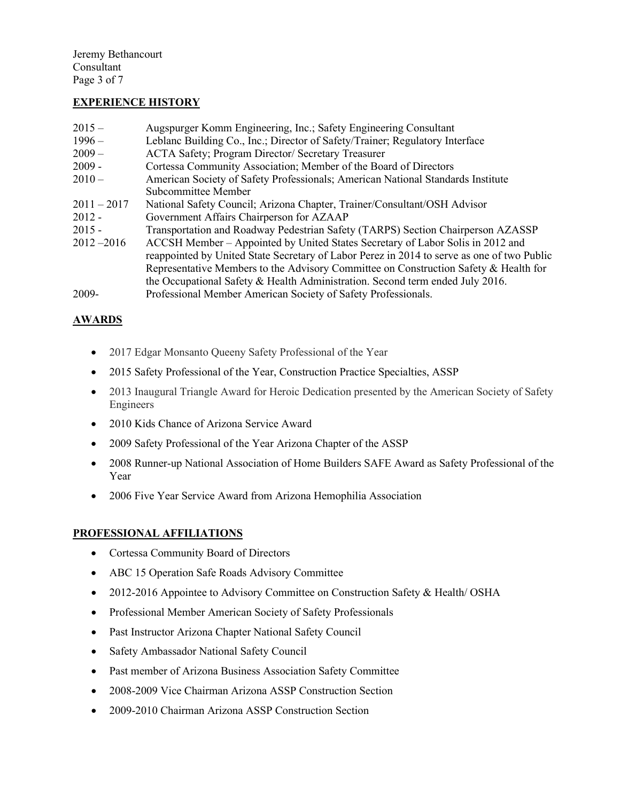Jeremy Bethancourt Consultant Page 3 of 7

### **EXPERIENCE HISTORY**

| $2015 -$      | Augspurger Komm Engineering, Inc.; Safety Engineering Consultant                           |
|---------------|--------------------------------------------------------------------------------------------|
| $1996-$       | Leblanc Building Co., Inc.; Director of Safety/Trainer; Regulatory Interface               |
| $2009-$       | ACTA Safety; Program Director/ Secretary Treasurer                                         |
| $2009 -$      | Cortessa Community Association; Member of the Board of Directors                           |
| $2010-$       | American Society of Safety Professionals; American National Standards Institute            |
|               | Subcommittee Member                                                                        |
| $2011 - 2017$ | National Safety Council; Arizona Chapter, Trainer/Consultant/OSH Advisor                   |
| $2012 -$      | Government Affairs Chairperson for AZAAP                                                   |
| $2015 -$      | Transportation and Roadway Pedestrian Safety (TARPS) Section Chairperson AZASSP            |
| $2012 - 2016$ | ACCSH Member – Appointed by United States Secretary of Labor Solis in 2012 and             |
|               | reappointed by United State Secretary of Labor Perez in 2014 to serve as one of two Public |
|               | Representative Members to the Advisory Committee on Construction Safety & Health for       |
|               | the Occupational Safety & Health Administration. Second term ended July 2016.              |
| 2009-         | Professional Member American Society of Safety Professionals.                              |

# **AWARDS**

- 2017 Edgar Monsanto Queeny Safety Professional of the Year
- 2015 Safety Professional of the Year, Construction Practice Specialties, ASSP
- 2013 Inaugural Triangle Award for Heroic Dedication presented by the American Society of Safety Engineers
- 2010 Kids Chance of Arizona Service Award
- 2009 Safety Professional of the Year Arizona Chapter of the ASSP
- 2008 Runner-up National Association of Home Builders SAFE Award as Safety Professional of the Year
- 2006 Five Year Service Award from Arizona Hemophilia Association

#### **PROFESSIONAL AFFILIATIONS**

- Cortessa Community Board of Directors
- ABC 15 Operation Safe Roads Advisory Committee
- 2012-2016 Appointee to Advisory Committee on Construction Safety & Health/ OSHA
- Professional Member American Society of Safety Professionals
- Past Instructor Arizona Chapter National Safety Council
- Safety Ambassador National Safety Council
- Past member of Arizona Business Association Safety Committee
- 2008-2009 Vice Chairman Arizona ASSP Construction Section
- 2009-2010 Chairman Arizona ASSP Construction Section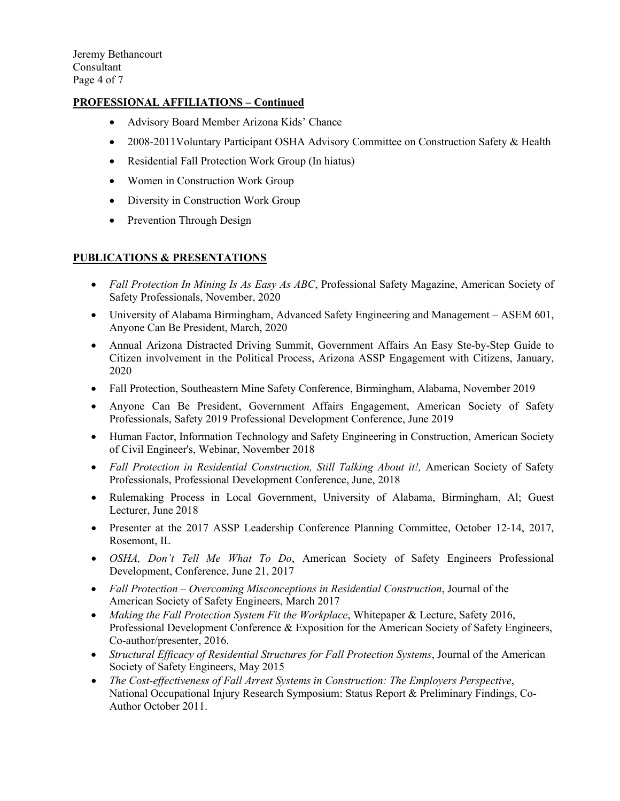## **PROFESSIONAL AFFILIATIONS – Continued**

- Advisory Board Member Arizona Kids' Chance
- 2008-2011 Voluntary Participant OSHA Advisory Committee on Construction Safety & Health
- Residential Fall Protection Work Group (In hiatus)
- Women in Construction Work Group
- Diversity in Construction Work Group
- Prevention Through Design

### **PUBLICATIONS & PRESENTATIONS**

- *Fall Protection In Mining Is As Easy As ABC*, Professional Safety Magazine, American Society of Safety Professionals, November, 2020
- University of Alabama Birmingham, Advanced Safety Engineering and Management ASEM 601, Anyone Can Be President, March, 2020
- Annual Arizona Distracted Driving Summit, Government Affairs An Easy Ste-by-Step Guide to Citizen involvement in the Political Process, Arizona ASSP Engagement with Citizens, January, 2020
- Fall Protection, Southeastern Mine Safety Conference, Birmingham, Alabama, November 2019
- Anyone Can Be President, Government Affairs Engagement, American Society of Safety Professionals, Safety 2019 Professional Development Conference, June 2019
- Human Factor, Information Technology and Safety Engineering in Construction, American Society of Civil Engineer's, Webinar, November 2018
- *Fall Protection in Residential Construction, Still Talking About it!,* American Society of Safety Professionals, Professional Development Conference, June, 2018
- Rulemaking Process in Local Government, University of Alabama, Birmingham, Al; Guest Lecturer, June 2018
- Presenter at the 2017 ASSP Leadership Conference Planning Committee, October 12-14, 2017, Rosemont, IL
- *OSHA, Don't Tell Me What To Do*, American Society of Safety Engineers Professional Development, Conference, June 21, 2017
- *Fall Protection – Overcoming Misconceptions in Residential Construction*, Journal of the American Society of Safety Engineers, March 2017
- *Making the Fall Protection System Fit the Workplace*, Whitepaper & Lecture, Safety 2016, Professional Development Conference & Exposition for the American Society of Safety Engineers, Co-author/presenter, 2016.
- *Structural Efficacy of Residential Structures for Fall Protection Systems*, Journal of the American Society of Safety Engineers, May 2015
- *The Cost-effectiveness of Fall Arrest Systems in Construction: The Employers Perspective*, National Occupational Injury Research Symposium: Status Report & Preliminary Findings, Co-Author October 2011.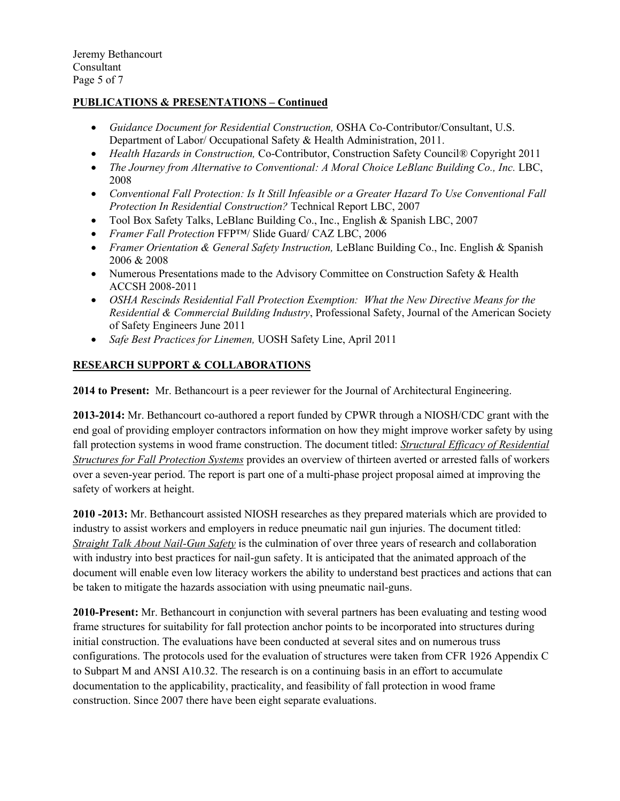Jeremy Bethancourt Consultant Page 5 of 7

### **PUBLICATIONS & PRESENTATIONS – Continued**

- *Guidance Document for Residential Construction,* OSHA Co-Contributor/Consultant, U.S. Department of Labor/ Occupational Safety & Health Administration, 2011.
- *Health Hazards in Construction,* Co-Contributor, Construction Safety Council® Copyright 2011
- *The Journey from Alternative to Conventional: A Moral Choice LeBlanc Building Co., Inc. LBC,* 2008
- *Conventional Fall Protection: Is It Still Infeasible or a Greater Hazard To Use Conventional Fall Protection In Residential Construction?* Technical Report LBC, 2007
- Tool Box Safety Talks, LeBlanc Building Co., Inc., English & Spanish LBC, 2007
- *Framer Fall Protection* FFP™/ Slide Guard/ CAZ LBC, 2006
- *Framer Orientation & General Safety Instruction,* LeBlanc Building Co., Inc. English & Spanish 2006 & 2008
- Numerous Presentations made to the Advisory Committee on Construction Safety & Health ACCSH 2008-2011
- *OSHA Rescinds Residential Fall Protection Exemption: What the New Directive Means for the Residential & Commercial Building Industry*, Professional Safety, Journal of the American Society of Safety Engineers June 2011
- *Safe Best Practices for Linemen,* UOSH Safety Line, April 2011

### **RESEARCH SUPPORT & COLLABORATIONS**

**2014 to Present:** Mr. Bethancourt is a peer reviewer for the Journal of Architectural Engineering.

**2013-2014:** Mr. Bethancourt co-authored a report funded by CPWR through a NIOSH/CDC grant with the end goal of providing employer contractors information on how they might improve worker safety by using fall protection systems in wood frame construction. The document titled: *Structural Efficacy of Residential Structures for Fall Protection Systems* provides an overview of thirteen averted or arrested falls of workers over a seven-year period. The report is part one of a multi-phase project proposal aimed at improving the safety of workers at height.

**2010 -2013:** Mr. Bethancourt assisted NIOSH researches as they prepared materials which are provided to industry to assist workers and employers in reduce pneumatic nail gun injuries. The document titled: *Straight Talk About Nail-Gun Safety* is the culmination of over three years of research and collaboration with industry into best practices for nail-gun safety. It is anticipated that the animated approach of the document will enable even low literacy workers the ability to understand best practices and actions that can be taken to mitigate the hazards association with using pneumatic nail-guns.

**2010-Present:** Mr. Bethancourt in conjunction with several partners has been evaluating and testing wood frame structures for suitability for fall protection anchor points to be incorporated into structures during initial construction. The evaluations have been conducted at several sites and on numerous truss configurations. The protocols used for the evaluation of structures were taken from CFR 1926 Appendix C to Subpart M and ANSI A10.32. The research is on a continuing basis in an effort to accumulate documentation to the applicability, practicality, and feasibility of fall protection in wood frame construction. Since 2007 there have been eight separate evaluations.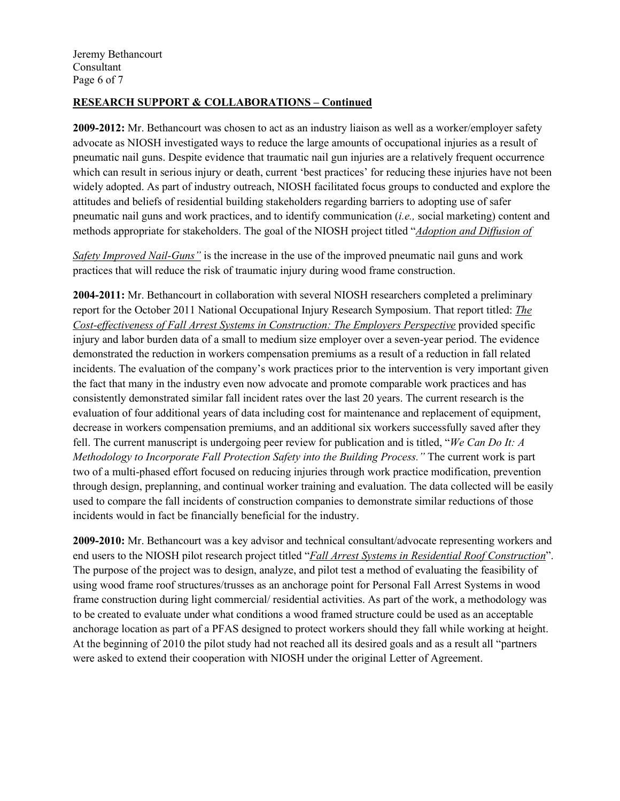## **RESEARCH SUPPORT & COLLABORATIONS – Continued**

**2009-2012:** Mr. Bethancourt was chosen to act as an industry liaison as well as a worker/employer safety advocate as NIOSH investigated ways to reduce the large amounts of occupational injuries as a result of pneumatic nail guns. Despite evidence that traumatic nail gun injuries are a relatively frequent occurrence which can result in serious injury or death, current 'best practices' for reducing these injuries have not been widely adopted. As part of industry outreach, NIOSH facilitated focus groups to conducted and explore the attitudes and beliefs of residential building stakeholders regarding barriers to adopting use of safer pneumatic nail guns and work practices, and to identify communication (*i.e.,* social marketing) content and methods appropriate for stakeholders. The goal of the NIOSH project titled "*Adoption and Diffusion of* 

*Safety Improved Nail-Guns"* is the increase in the use of the improved pneumatic nail guns and work practices that will reduce the risk of traumatic injury during wood frame construction.

**2004-2011:** Mr. Bethancourt in collaboration with several NIOSH researchers completed a preliminary report for the October 2011 National Occupational Injury Research Symposium. That report titled: *The Cost-effectiveness of Fall Arrest Systems in Construction: The Employers Perspective* provided specific injury and labor burden data of a small to medium size employer over a seven-year period. The evidence demonstrated the reduction in workers compensation premiums as a result of a reduction in fall related incidents. The evaluation of the company's work practices prior to the intervention is very important given the fact that many in the industry even now advocate and promote comparable work practices and has consistently demonstrated similar fall incident rates over the last 20 years. The current research is the evaluation of four additional years of data including cost for maintenance and replacement of equipment, decrease in workers compensation premiums, and an additional six workers successfully saved after they fell. The current manuscript is undergoing peer review for publication and is titled, "*We Can Do It: A Methodology to Incorporate Fall Protection Safety into the Building Process."* The current work is part two of a multi-phased effort focused on reducing injuries through work practice modification, prevention through design, preplanning, and continual worker training and evaluation. The data collected will be easily used to compare the fall incidents of construction companies to demonstrate similar reductions of those incidents would in fact be financially beneficial for the industry.

**2009-2010:** Mr. Bethancourt was a key advisor and technical consultant/advocate representing workers and end users to the NIOSH pilot research project titled "*Fall Arrest Systems in Residential Roof Construction*". The purpose of the project was to design, analyze, and pilot test a method of evaluating the feasibility of using wood frame roof structures/trusses as an anchorage point for Personal Fall Arrest Systems in wood frame construction during light commercial/ residential activities. As part of the work, a methodology was to be created to evaluate under what conditions a wood framed structure could be used as an acceptable anchorage location as part of a PFAS designed to protect workers should they fall while working at height. At the beginning of 2010 the pilot study had not reached all its desired goals and as a result all "partners were asked to extend their cooperation with NIOSH under the original Letter of Agreement.